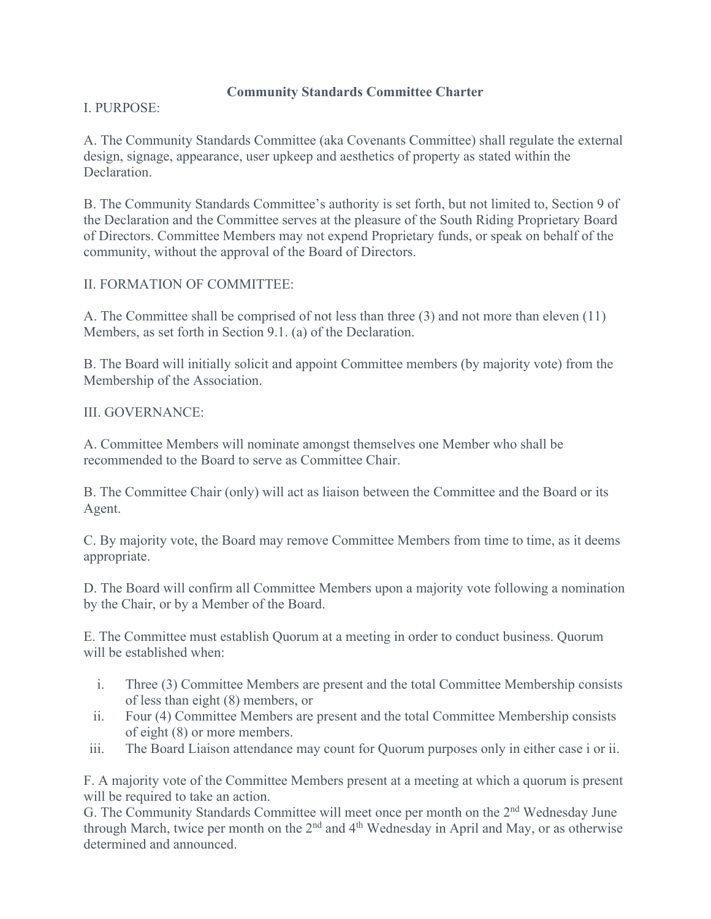### **Community Standards Committee Charter**

# I. PURPOSE:

A. The Community Standards Committee (aka Covenants Committee) shall regulate the external design, signage, appearance, user upkeep and aesthetics of property as stated within the Declaration.

B. The Community Standards Committee's authority is set forth, but not limited to, Section 9 of the Declaration and the Committee serves at the pleasure of the South Riding Proprietary Board of Directors. Committee Members may not expend Proprietary funds, or speak on behalf of the community, without the approval of the Board of Directors.

# II. FORMATION OF COMMITTEE:

A. The Committee shall be comprised of not less than three (3) and not more than eleven (11) Members, as set forth in Section 9.1. (a) of the Declaration.

B. The Board will initially solicit and appoint Committee members (by majority vote) from the Membership of the Association.

# III. GOVERNANCE:

A. Committee Members will nominate amongst themselves one Member who shall be recommended to the Board to serve as Committee Chair.

B. The Committee Chair (only) will act as liaison between the Committee and the Board or its Agent.

C. By majority vote, the Board may remove Committee Members from time to time, as it deems appropriate.

D. The Board will confirm all Committee Members upon a majority vote following a nomination by the Chair, or by a Member of the Board.

E. The Committee must establish Quorum at a meeting in order to conduct business. Quorum will be established when:

- i. Three (3) Committee Members are present and the total Committee Membership consists of less than eight (8) members, or
- ii. Four (4) Committee Members are present and the total Committee Membership consists of eight (8) or more members.
- iii. The Board Liaison attendance may count for Quorum purposes only in either case i or ii.

F. A majority vote of the Committee Members present at a meeting at which a quorum is present will be required to take an action.

G. The Community Standards Committee will meet once per month on the 2<sup>nd</sup> Wednesday June through March, twice per month on the 2<sup>nd</sup> and 4<sup>th</sup> Wednesday in April and May, or as otherwise determined and announced.